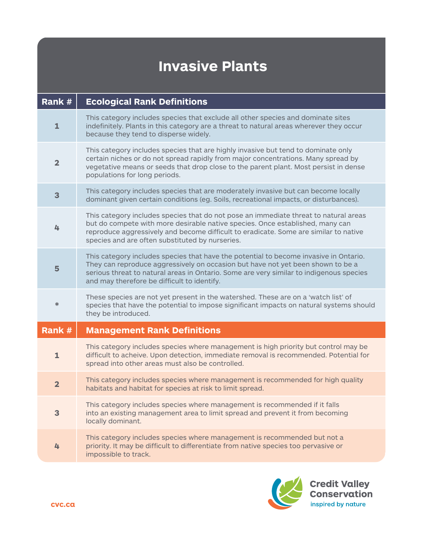| Rank #         | <b>Ecological Rank Definitions</b>                                                                                                                                                                                                                                                                                 |
|----------------|--------------------------------------------------------------------------------------------------------------------------------------------------------------------------------------------------------------------------------------------------------------------------------------------------------------------|
| $\mathbf{1}$   | This category includes species that exclude all other species and dominate sites<br>indefinitely. Plants in this category are a threat to natural areas wherever they occur<br>because they tend to disperse widely.                                                                                               |
| $\mathbf{2}$   | This category includes species that are highly invasive but tend to dominate only<br>certain niches or do not spread rapidly from major concentrations. Many spread by<br>vegetative means or seeds that drop close to the parent plant. Most persist in dense<br>populations for long periods.                    |
| 3              | This category includes species that are moderately invasive but can become locally<br>dominant given certain conditions (eg. Soils, recreational impacts, or disturbances).                                                                                                                                        |
| 4              | This category includes species that do not pose an immediate threat to natural areas<br>but do compete with more desirable native species. Once established, many can<br>reproduce aggressively and become difficult to eradicate. Some are similar to native<br>species and are often substituted by nurseries.   |
| 5              | This category includes species that have the potential to become invasive in Ontario.<br>They can reproduce aggressively on occasion but have not yet been shown to be a<br>serious threat to natural areas in Ontario. Some are very similar to indigenous species<br>and may therefore be difficult to identify. |
| ∗              | These species are not yet present in the watershed. These are on a 'watch list' of<br>species that have the potential to impose significant impacts on natural systems should<br>they be introduced.                                                                                                               |
| Rank #         | <b>Management Rank Definitions</b>                                                                                                                                                                                                                                                                                 |
| $\mathbf{1}$   | This category includes species where management is high priority but control may be<br>difficult to acheive. Upon detection, immediate removal is recommended. Potential for<br>spread into other areas must also be controlled.                                                                                   |
| $\overline{2}$ | This category includes species where management is recommended for high quality<br>habitats and habitat for species at risk to limit spread.                                                                                                                                                                       |
| 3              | This category includes species where management is recommended if it falls<br>into an existing management area to limit spread and prevent it from becoming<br>locally dominant.                                                                                                                                   |
| 4              | This category includes species where management is recommended but not a<br>priority. It may be difficult to differentiate from native species too pervasive or<br>impossible to track.                                                                                                                            |

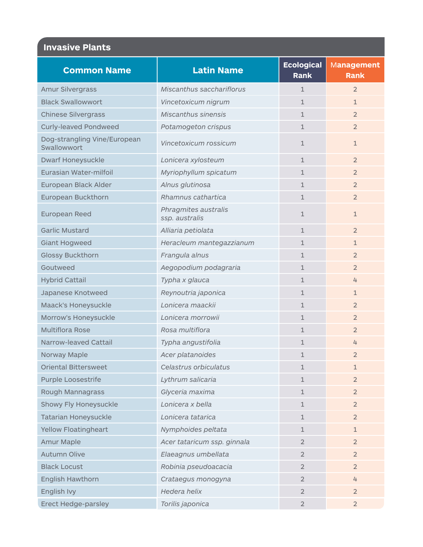| <b>Common Name</b>                          | <b>Latin Name</b>                      | <b>Ecological</b><br><b>Rank</b> | <b>Management</b><br><b>Rank</b> |
|---------------------------------------------|----------------------------------------|----------------------------------|----------------------------------|
| <b>Amur Silvergrass</b>                     | Miscanthus sacchariflorus              | $\mathbf{1}$                     | $\overline{2}$                   |
| <b>Black Swallowwort</b>                    | Vincetoxicum nigrum                    | $\mathbf{1}$                     | $\mathbf{1}$                     |
| <b>Chinese Silvergrass</b>                  | <b>Miscanthus sinensis</b>             | $\mathbf{1}$                     | $\overline{2}$                   |
| <b>Curly-leaved Pondweed</b>                | Potamogeton crispus                    | $\mathbf{1}$                     | $\overline{2}$                   |
| Dog-strangling Vine/European<br>Swallowwort | Vincetoxicum rossicum                  | $\mathbf{1}$                     | $\mathbf{1}$                     |
| <b>Dwarf Honeysuckle</b>                    | Lonicera xylosteum                     | $\mathbf{1}$                     | $\overline{2}$                   |
| Eurasian Water-milfoil                      | Myriophyllum spicatum                  | $\mathbf{1}$                     | $\overline{2}$                   |
| European Black Alder                        | Alnus glutinosa                        | $\mathbf{1}$                     | $\overline{2}$                   |
| European Buckthorn                          | Rhamnus cathartica                     | $\mathbf{1}$                     | $\overline{2}$                   |
| European Reed                               | Phragmites australis<br>ssp. australis | $\mathbf 1$                      | $\mathbf{1}$                     |
| <b>Garlic Mustard</b>                       | Alliaria petiolata                     | $\mathbf{1}$                     | $\overline{2}$                   |
| <b>Giant Hogweed</b>                        | Heracleum mantegazzianum               | $\mathbf{1}$                     | $\mathbf{1}$                     |
| <b>Glossy Buckthorn</b>                     | Frangula alnus                         | $\mathbf{1}$                     | $\overline{2}$                   |
| Goutweed                                    | Aegopodium podagraria                  | $\mathbf{1}$                     | $\overline{2}$                   |
| <b>Hybrid Cattail</b>                       | Typha x glauca                         | $\mathbf{1}$                     | 4                                |
| Japanese Knotweed                           | Reynoutria japonica                    | $\mathbf{1}$                     | $\mathbf{1}$                     |
| Maack's Honeysuckle                         | Lonicera maackii                       | $\mathbf{1}$                     | $\overline{2}$                   |
| Morrow's Honeysuckle                        | Lonicera morrowii                      | $\mathbf{1}$                     | $\overline{2}$                   |
| <b>Multiflora Rose</b>                      | Rosa multiflora                        | $\mathbf{1}$                     | $\overline{2}$                   |
| Narrow-leaved Cattail                       | Typha angustifolia                     | $\mathbf{1}$                     | 4                                |
| Norway Maple                                | Acer platanoides                       | 1                                | $\overline{2}$                   |
| <b>Oriental Bittersweet</b>                 | Celastrus orbiculatus                  | 1                                | $\mathbf{1}$                     |
| <b>Purple Loosestrife</b>                   | Lythrum salicaria                      | $\mathbf 1$                      | $\overline{2}$                   |
| Rough Mannagrass                            | Glyceria maxima                        | $\mathbf{1}$                     | $\overline{2}$                   |
| Showy Fly Honeysuckle                       | Lonicera x bella                       | $\mathbf{1}$                     | $\overline{2}$                   |
| <b>Tatarian Honeysuckle</b>                 | Lonicera tatarica                      | $\mathbf{1}$                     | $\overline{2}$                   |
| <b>Yellow Floatingheart</b>                 | Nymphoides peltata                     | $\mathbf{1}$                     | $\mathbf{1}$                     |
| <b>Amur Maple</b>                           | Acer tataricum ssp. ginnala            | $\overline{2}$                   | $\overline{2}$                   |
| <b>Autumn Olive</b>                         | Elaeagnus umbellata                    | $\overline{2}$                   | $\overline{2}$                   |
| <b>Black Locust</b>                         | Robinia pseudoacacia                   | $\overline{2}$                   | $\overline{2}$                   |
| <b>English Hawthorn</b>                     | Crataegus monogyna                     | $\overline{2}$                   | 4                                |
| English Ivy                                 | Hedera helix                           | $\overline{2}$                   | $\overline{2}$                   |
| <b>Erect Hedge-parsley</b>                  | Torilis japonica                       | $\overline{2}$                   | $\overline{2}$                   |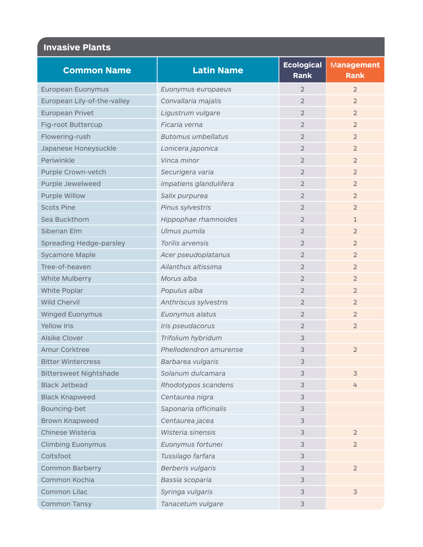| <b>Common Name</b>            | <b>Latin Name</b>         | <b>Ecological</b> | <b>Management</b> |
|-------------------------------|---------------------------|-------------------|-------------------|
|                               |                           | <b>Rank</b>       | <b>Rank</b>       |
| European Euonymus             | Euonymus europaeus        | $\overline{2}$    | $\overline{2}$    |
| European Lily-of-the-valley   | Convallaria majalis       | $\overline{2}$    | $\overline{2}$    |
| <b>European Privet</b>        | Ligustrum vulgare         | $\overline{2}$    | $\overline{2}$    |
| Fig-root Buttercup            | Ficaria verna             | $\overline{2}$    | $\overline{2}$    |
| Flowering-rush                | <b>Butomus umbellatus</b> | 2                 | $\overline{2}$    |
| Japanese Honeysuckle          | Lonicera japonica         | $\overline{2}$    | $\overline{2}$    |
| Periwinkle                    | Vinca minor               | $\overline{2}$    | $\overline{2}$    |
| Purple Crown-vetch            | Securigera varia          | $\overline{2}$    | $\overline{2}$    |
| Purple Jewelweed              | Impatiens glandulifera    | $\overline{2}$    | $\overline{2}$    |
| <b>Purple Willow</b>          | Salix purpurea            | $\overline{2}$    | $\overline{2}$    |
| <b>Scots Pine</b>             | Pinus sylvestris          | $\overline{2}$    | $\overline{2}$    |
| Sea Buckthorn                 | Hippophae rhamnoides      | $\overline{2}$    | $\mathbf{1}$      |
| Siberian Elm                  | Ulmus pumila              | $\overline{2}$    | $\overline{2}$    |
| Spreading Hedge-parsley       | Torilis arvensis          | $\overline{2}$    | $\overline{2}$    |
| <b>Sycamore Maple</b>         | Acer pseudoplatanus       | $\overline{2}$    | $\overline{2}$    |
| Tree-of-heaven                | Ailanthus altissima       | $\overline{2}$    | $\overline{2}$    |
| White Mulberry                | Morus alba                | $\overline{2}$    | $\overline{2}$    |
| White Poplar                  | Populus alba              | $\overline{2}$    | $\overline{2}$    |
| <b>Wild Chervil</b>           | Anthriscus sylvestris     | 2                 | $\overline{2}$    |
| <b>Winged Euonymus</b>        | Euonymus alatus           | $\overline{2}$    | $\overline{2}$    |
| <b>Yellow Iris</b>            | Iris pseudacorus          | $\overline{2}$    | $\overline{2}$    |
| <b>Alsike Clover</b>          | Trifolium hybridum        | 3                 |                   |
| <b>Amur Corktree</b>          | Phellodendron amurense    | 3                 | $\overline{2}$    |
| <b>Bitter Wintercress</b>     | Barbarea vulgaris         | 3                 |                   |
| <b>Bittersweet Nightshade</b> | Solanum dulcamara         | 3                 | 3                 |
| <b>Black Jetbead</b>          | Rhodotypos scandens       | 3                 | 4                 |
| <b>Black Knapweed</b>         | Centaurea nigra           | 3                 |                   |
| Bouncing-bet                  | Saponaria officinalis     | 3                 |                   |
| <b>Brown Knapweed</b>         | Centaurea jacea           | 3                 |                   |
| Chinese Wisteria              | Wisteria sinensis         | 3                 | $\overline{2}$    |
| <b>Climbing Euonymus</b>      | Euonymus fortunei         | 3                 | $\overline{2}$    |
| Coltsfoot                     | Tussilago farfara         | 3                 |                   |
| <b>Common Barberry</b>        | Berberis vulgaris         | 3                 | $\overline{2}$    |
| Common Kochia                 | Bassia scoparia           | 3                 |                   |
| Common Lilac                  | Syringa vulgaris          | 3                 | $\mathsf 3$       |
| <b>Common Tansy</b>           | Tanacetum vulgare         | 3                 |                   |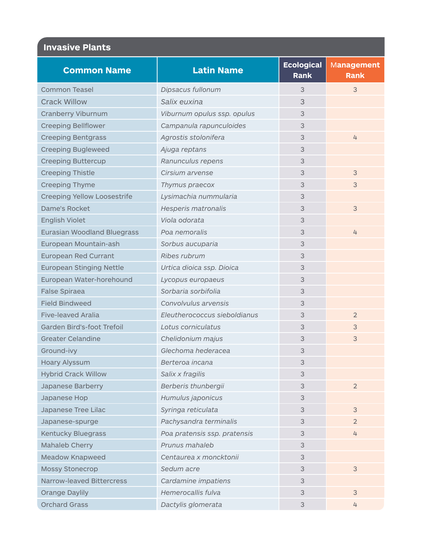|                                    |                              | <b>Ecological</b> | Management     |
|------------------------------------|------------------------------|-------------------|----------------|
| <b>Common Name</b>                 | <b>Latin Name</b>            | <b>Rank</b>       | <b>Rank</b>    |
| <b>Common Teasel</b>               | Dipsacus fullonum            | 3                 | 3              |
| <b>Crack Willow</b>                | Salix euxina                 | 3                 |                |
| Cranberry Viburnum                 | Viburnum opulus ssp. opulus  | 3                 |                |
| <b>Creeping Bellflower</b>         | Campanula rapunculoides      | 3                 |                |
| <b>Creeping Bentgrass</b>          | Agrostis stolonifera         | 3                 | 4              |
| <b>Creeping Bugleweed</b>          | Ajuga reptans                | 3                 |                |
| <b>Creeping Buttercup</b>          | Ranunculus repens            | 3                 |                |
| <b>Creeping Thistle</b>            | Cirsium arvense              | 3                 | 3              |
| <b>Creeping Thyme</b>              | Thymus praecox               | 3                 | $\mathsf 3$    |
| <b>Creeping Yellow Loosestrife</b> | Lysimachia nummularia        | 3                 |                |
| Dame's Rocket                      | Hesperis matronalis          | 3                 | $\mathsf 3$    |
| English Violet                     | Viola odorata                | 3                 |                |
| Eurasian Woodland Bluegrass        | Poa nemoralis                | 3                 | 4              |
| European Mountain-ash              | Sorbus aucuparia             | 3                 |                |
| <b>European Red Currant</b>        | Ribes rubrum                 | 3                 |                |
| <b>European Stinging Nettle</b>    | Urtica dioica ssp. Dioica    | 3                 |                |
| European Water-horehound           | Lycopus europaeus            | 3                 |                |
| False Spiraea                      | Sorbaria sorbifolia          | 3                 |                |
| <b>Field Bindweed</b>              | Convolvulus arvensis         | 3                 |                |
| <b>Five-leaved Aralia</b>          | Eleutherococcus sieboldianus | 3                 | $\overline{2}$ |
| Garden Bird's-foot Trefoil         | Lotus corniculatus           | 3                 | 3              |
| <b>Greater Celandine</b>           | Chelidonium majus            | 3                 | $\mathsf 3$    |
| Ground-ivy                         | Glechoma hederacea           | 3                 |                |
| Hoary Alyssum                      | Berteroa incana              | 3                 |                |
| <b>Hybrid Crack Willow</b>         | Salix x fragilis             | 3                 |                |
| Japanese Barberry                  | Berberis thunbergii          | 3                 | $\overline{2}$ |
| Japanese Hop                       | Humulus japonicus            | 3                 |                |
| Japanese Tree Lilac                | Syringa reticulata           | 3                 | 3              |
| Japanese-spurge                    | Pachysandra terminalis       | 3                 | $\overline{2}$ |
| <b>Kentucky Bluegrass</b>          | Poa pratensis ssp. pratensis | 3                 | 4              |
| Mahaleb Cherry                     | Prunus mahaleb               | 3                 |                |
| Meadow Knapweed                    | Centaurea x moncktonii       | 3                 |                |
| <b>Mossy Stonecrop</b>             | Sedum acre                   | 3                 | $\mathsf 3$    |
| <b>Narrow-leaved Bittercress</b>   | Cardamine impatiens          | 3                 |                |
| <b>Orange Daylily</b>              | Hemerocallis fulva           | 3                 | 3              |
| <b>Orchard Grass</b>               | Dactylis glomerata           | 3                 | 4              |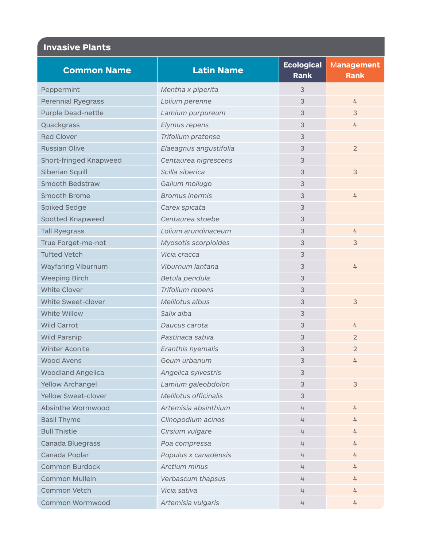| <b>Common Name</b>        | <b>Latin Name</b>      | <b>Ecological</b> | <b>Management</b> |
|---------------------------|------------------------|-------------------|-------------------|
|                           |                        | <b>Rank</b>       | <b>Rank</b>       |
| Peppermint                | Mentha x piperita      | 3                 |                   |
| <b>Perennial Ryegrass</b> | Lolium perenne         | 3                 | 4                 |
| <b>Purple Dead-nettle</b> | Lamium purpureum       | 3                 | 3                 |
| Quackgrass                | Elymus repens          | 3                 | 4                 |
| <b>Red Clover</b>         | Trifolium pratense     | 3                 |                   |
| <b>Russian Olive</b>      | Elaeagnus angustifolia | 3                 | $\overline{2}$    |
| Short-fringed Knapweed    | Centaurea nigrescens   | 3                 |                   |
| Siberian Squill           | Scilla siberica        | 3                 | 3                 |
| <b>Smooth Bedstraw</b>    | Galium mollugo         | 3                 |                   |
| Smooth Brome              | <b>Bromus inermis</b>  | 3                 | 4                 |
| Spiked Sedge              | Carex spicata          | 3                 |                   |
| Spotted Knapweed          | Centaurea stoebe       | 3                 |                   |
| <b>Tall Ryegrass</b>      | Lolium arundinaceum    | 3                 | 4                 |
| True Forget-me-not        | Myosotis scorpioides   | 3                 | 3                 |
| <b>Tufted Vetch</b>       | Vicia cracca           | 3                 |                   |
| Wayfaring Viburnum        | Viburnum lantana       | 3                 | 4                 |
| <b>Weeping Birch</b>      | Betula pendula         | 3                 |                   |
| <b>White Clover</b>       | Trifolium repens       | 3                 |                   |
| White Sweet-clover        | Melilotus albus        | 3                 | 3                 |
| White Willow              | Salix alba             | 3                 |                   |
| <b>Wild Carrot</b>        | Daucus carota          | 3                 | 4                 |
| <b>Wild Parsnip</b>       | Pastinaca sativa       | 3                 | $\overline{2}$    |
| <b>Winter Aconite</b>     | Eranthis hyemalis      | 3                 | $\overline{2}$    |
| <b>Wood Avens</b>         | Geum urbanum           | 3                 | 4                 |
| <b>Woodland Angelica</b>  | Angelica sylvestris    | 3                 |                   |
| <b>Yellow Archangel</b>   | Lamium galeobdolon     | 3                 | $\mathsf 3$       |
| Yellow Sweet-clover       | Melilotus officinalis  | 3                 |                   |
| Absinthe Wormwood         | Artemisia absinthium   | 4                 | 4                 |
| <b>Basil Thyme</b>        | Clinopodium acinos     | 4                 | 4                 |
| <b>Bull Thistle</b>       | Cirsium vulgare        | 4                 | 4                 |
| Canada Bluegrass          | Poa compressa          | 4                 | 4                 |
| Canada Poplar             | Populus x canadensis   | 4                 | 4                 |
| <b>Common Burdock</b>     | Arctium minus          | 4                 | 4                 |
| <b>Common Mullein</b>     | Verbascum thapsus      | 4                 | 4                 |
| Common Vetch              | Vicia sativa           | 4                 | 4                 |
| Common Wormwood           | Artemisia vulgaris     | 4                 | 4                 |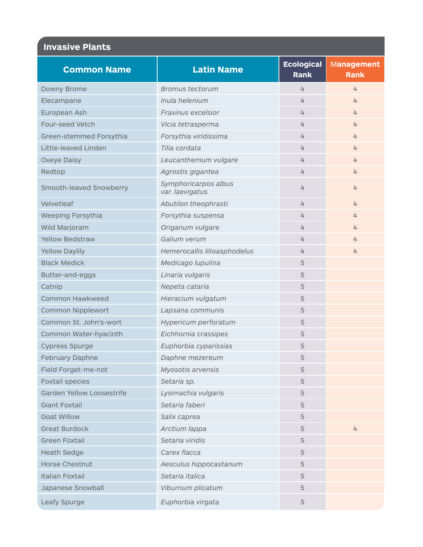| <b>Common Name</b>               | <b>Latin Name</b>                       | <b>Ecological</b><br><b>Rank</b> | Management<br><b>Rank</b> |
|----------------------------------|-----------------------------------------|----------------------------------|---------------------------|
| Downy Brome                      | <b>Bromus tectorum</b>                  | 4                                | 4                         |
| Elecampane                       | Inula helenium                          | 4                                | 4                         |
| European Ash                     | Fraxinus excelsior                      | 4                                | 4                         |
| Four-seed Vetch                  | Vicia tetrasperma                       | 4                                | 4                         |
| Green-stemmed Forsythia          | Forsythia viridissima                   | 4                                | 4                         |
| Little-leaved Linden             | Tilia cordata                           | 4                                | 4                         |
| Oxeye Daisy                      | Leucanthemum vulgare                    | 4                                | 4                         |
| Redtop                           | Agrostis gigantea                       | 4                                | 4                         |
| Smooth-leaved Snowberry          | Symphoricarpos albus<br>var. laevigatus | 4                                | 4                         |
| Velvetleaf                       | Abutilon theophrasti                    | 4                                | 4                         |
| Weeping Forsythia                | Forsythia suspensa                      | 4                                | 4                         |
| Wild Marjoram                    | Origanum vulgare                        | 4                                | 4                         |
| <b>Yellow Bedstraw</b>           | Galium verum                            | 4                                | 4                         |
| <b>Yellow Daylily</b>            | Hemerocallis lilioasphodelus            | 4                                | 4                         |
| <b>Black Medick</b>              | Medicago lupulina                       | 5                                |                           |
| Butter-and-eggs                  | Linaria vulgaris                        | 5                                |                           |
| Catnip                           | Nepeta cataria                          | 5                                |                           |
| <b>Common Hawkweed</b>           | Hieracium vulgatum                      | 5                                |                           |
| <b>Common Nipplewort</b>         | Lapsana communis                        | 5                                |                           |
| Common St. John's-wort           | Hypericum perforatum                    | 5                                |                           |
| Common Water-hyacinth            | Eichhornia crassipes                    | 5                                |                           |
| <b>Cypress Spurge</b>            | Euphorbia cyparissias                   | 5                                |                           |
| February Daphne                  | Daphne mezereum                         | 5                                |                           |
| Field Forget-me-not              | Myosotis arvensis                       | 5                                |                           |
| <b>Foxtail species</b>           | Setaria sp.                             | 5                                |                           |
| <b>Garden Yellow Loosestrife</b> | Lysimachia vulgaris                     | 5                                |                           |
| <b>Giant Foxtail</b>             | Setaria faberi                          | 5                                |                           |
| <b>Goat Willow</b>               | Salix caprea                            | 5                                |                           |
| <b>Great Burdock</b>             | Arctium lappa                           | 5                                | 4                         |
| <b>Green Foxtail</b>             | Setaria viridis                         | 5                                |                           |
| <b>Heath Sedge</b>               | Carex flacca                            | 5                                |                           |
| <b>Horse Chestnut</b>            | Aesculus hippocastanum                  | 5                                |                           |
| <b>Italian Foxtail</b>           | Setaria italica                         | 5                                |                           |
| Japanese Snowball                | Viburnum plicatum                       | 5                                |                           |
| Leafy Spurge                     | Euphorbia virgata                       | 5                                |                           |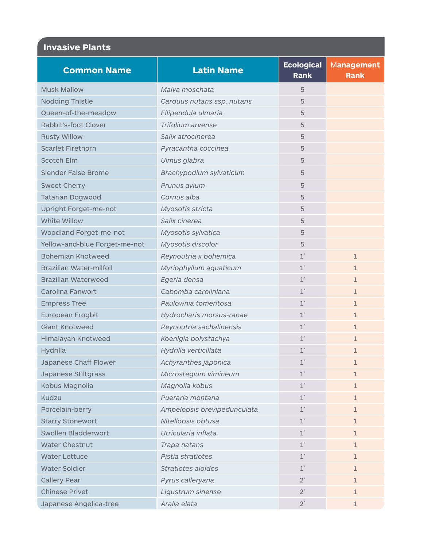| <b>Common Name</b>                                        | <b>Latin Name</b>           | <b>Ecological</b><br>Rank | <b>Management</b><br><b>Rank</b> |
|-----------------------------------------------------------|-----------------------------|---------------------------|----------------------------------|
| <b>Musk Mallow</b>                                        | Malva moschata              | 5                         |                                  |
| Nodding Thistle                                           | Carduus nutans ssp. nutans  | 5                         |                                  |
| Queen-of-the-meadow                                       | Filipendula ulmaria         | 5                         |                                  |
| Rabbit's-foot Clover                                      | Trifolium arvense           | 5                         |                                  |
| <b>Rusty Willow</b>                                       | Salix atrocinerea           | 5                         |                                  |
| <b>Scarlet Firethorn</b>                                  | Pyracantha coccinea         | 5                         |                                  |
| <b>Scotch Elm</b>                                         | Ulmus glabra                | 5                         |                                  |
| <b>Slender False Brome</b>                                | Brachypodium sylvaticum     | 5                         |                                  |
| <b>Sweet Cherry</b>                                       | Prunus avium                | 5                         |                                  |
| <b>Tatarian Dogwood</b>                                   | Cornus alba                 | 5                         |                                  |
| Upright Forget-me-not                                     | Myosotis stricta            | 5                         |                                  |
| White Willow                                              | Salix cinerea               | 5                         |                                  |
|                                                           |                             | 5                         |                                  |
| Woodland Forget-me-not                                    | Myosotis sylvatica          |                           |                                  |
| Yellow-and-blue Forget-me-not<br><b>Bohemian Knotweed</b> | Myosotis discolor           | 5<br>$1^*$                |                                  |
| Brazilian Water-milfoil                                   | Reynoutria x bohemica       | $1^*$                     | 1                                |
|                                                           | Myriophyllum aquaticum      |                           | $\mathbf{1}$                     |
| <b>Brazilian Waterweed</b>                                | Egeria densa                | $\texttt{1}^*$            | $\mathbf{1}$                     |
| Carolina Fanwort                                          | Cabomba caroliniana         | $1^*$                     | $\mathbf{1}$                     |
| <b>Empress Tree</b>                                       | Paulownia tomentosa         | $1^*$                     | $\mathbf{1}$                     |
| European Frogbit                                          | Hydrocharis morsus-ranae    | $1^*$                     | 1                                |
| <b>Giant Knotweed</b>                                     | Reynoutria sachalinensis    | $\texttt{1}^*$            | $\mathbf{1}$                     |
| Himalayan Knotweed                                        | Koenigia polystachya        | $1^*$                     | 1                                |
| Hydrilla                                                  | Hydrilla verticillata       | $1^*$                     | 1                                |
| Japanese Chaff Flower                                     | Achyranthes japonica        | $1^*$                     | 1                                |
| Japanese Stiltgrass                                       | Microstegium vimineum       | $1^*$                     | $\mathbf{1}$                     |
| Kobus Magnolia                                            | Magnolia kobus              | $1^*$                     | $\mathbf{1}$                     |
| Kudzu                                                     | Pueraria montana            | $1^*$                     | $\mathbf{1}$                     |
| Porcelain-berry                                           | Ampelopsis brevipedunculata | $1^*$                     | 1                                |
| <b>Starry Stonewort</b>                                   | Nitellopsis obtusa          | $\texttt{1}^*$            | 1                                |
| Swollen Bladderwort                                       | Utricularia inflata         | $\texttt{1}^*$            | $\mathbf{1}$                     |
| <b>Water Chestnut</b>                                     | Trapa natans                | $\texttt{1}^*$            | $\mathbf{1}$                     |
| <b>Water Lettuce</b>                                      | Pistia stratiotes           | $\mathtt{1}^*$            | $\mathbf{1}$                     |
| <b>Water Soldier</b>                                      | Stratiotes aloides          | $1^*$                     | $\mathbf{1}$                     |
| <b>Callery Pear</b>                                       | Pyrus calleryana            | $2^*$                     | $\mathbf{1}$                     |
| <b>Chinese Privet</b>                                     | Ligustrum sinense           | $2^*$                     | $\mathbf{1}$                     |
| Japanese Angelica-tree                                    | Aralia elata                | $2^*$                     | 1                                |